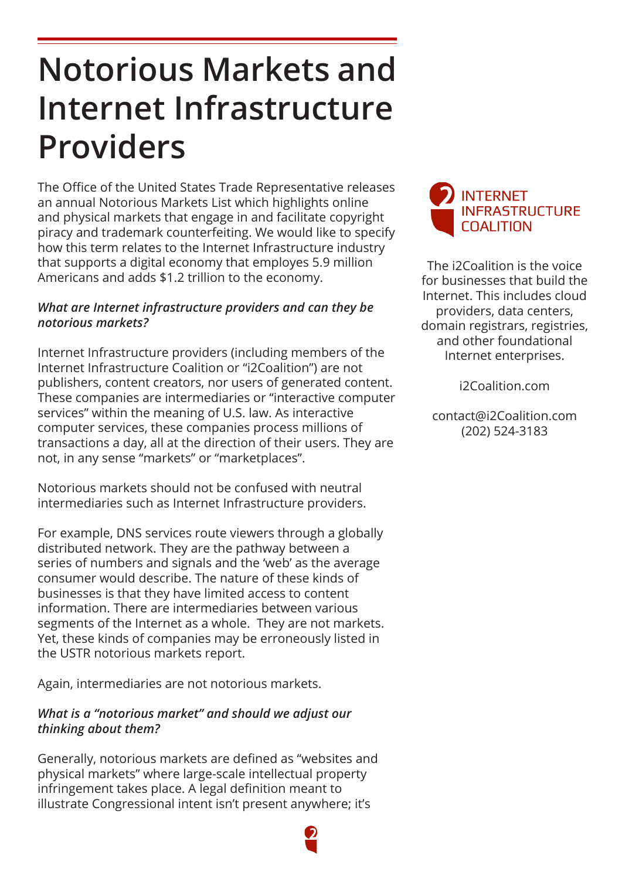## **Notorious Markets and Internet Infrastructure Providers**

The Office of the United States Trade Representative releases an annual Notorious Markets List which highlights online and physical markets that engage in and facilitate copyright piracy and trademark counterfeiting. We would like to specify how this term relates to the Internet Infrastructure industry that supports a digital economy that employes 5.9 million Americans and adds \$1.2 trillion to the economy.

## *What are Internet infrastructure providers and can they be notorious markets?*

Internet Infrastructure providers (including members of the Internet Infrastructure Coalition or "i2Coalition") are not publishers, content creators, nor users of generated content. These companies are intermediaries or "interactive computer services" within the meaning of U.S. law. As interactive computer services, these companies process millions of transactions a day, all at the direction of their users. They are not, in any sense "markets" or "marketplaces".

Notorious markets should not be confused with neutral intermediaries such as Internet Infrastructure providers.

For example, DNS services route viewers through a globally distributed network. They are the pathway between a series of numbers and signals and the 'web' as the average consumer would describe. The nature of these kinds of businesses is that they have limited access to content information. There are intermediaries between various segments of the Internet as a whole. They are not markets. Yet, these kinds of companies may be erroneously listed in the USTR notorious markets report.

Again, intermediaries are not notorious markets.

## *What is a "notorious market" and should we adjust our thinking about them?*

Generally, notorious markets are defined as "websites and physical markets" where large-scale intellectual property infringement takes place. A legal definition meant to illustrate Congressional intent isn't present anywhere; it's



The i2Coalition is the voice for businesses that build the Internet. This includes cloud providers, data centers, domain registrars, registries, and other foundational Internet enterprises.

i2Coalition.com

contact@i2Coalition.com (202) 524-3183